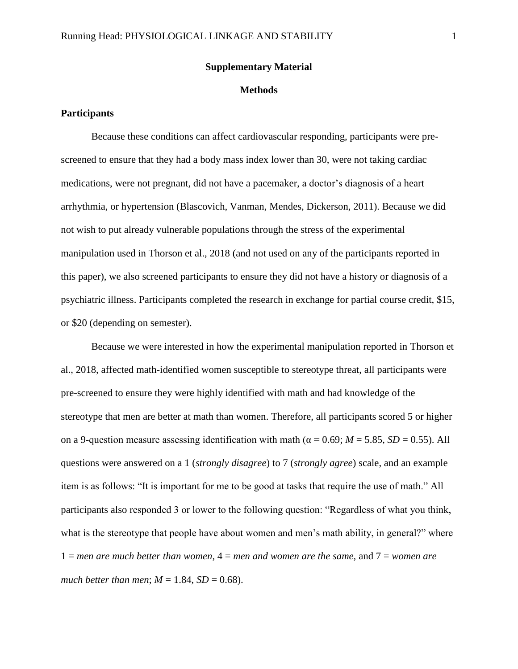#### **Supplementary Material**

## **Methods**

## **Participants**

Because these conditions can affect cardiovascular responding, participants were prescreened to ensure that they had a body mass index lower than 30, were not taking cardiac medications, were not pregnant, did not have a pacemaker, a doctor's diagnosis of a heart arrhythmia, or hypertension (Blascovich, Vanman, Mendes, Dickerson, 2011). Because we did not wish to put already vulnerable populations through the stress of the experimental manipulation used in Thorson et al., 2018 (and not used on any of the participants reported in this paper), we also screened participants to ensure they did not have a history or diagnosis of a psychiatric illness. Participants completed the research in exchange for partial course credit, \$15, or \$20 (depending on semester).

Because we were interested in how the experimental manipulation reported in Thorson et al., 2018, affected math-identified women susceptible to stereotype threat, all participants were pre-screened to ensure they were highly identified with math and had knowledge of the stereotype that men are better at math than women. Therefore, all participants scored 5 or higher on a 9-question measure assessing identification with math ( $\alpha$  = 0.69;  $M$  = 5.85, *SD* = 0.55). All questions were answered on a 1 (*strongly disagree*) to 7 (*strongly agree*) scale, and an example item is as follows: "It is important for me to be good at tasks that require the use of math." All participants also responded 3 or lower to the following question: "Regardless of what you think, what is the stereotype that people have about women and men's math ability, in general?" where 1 = *men are much better than women*, 4 = *men and women are the same*, and 7 = *women are much better than men*;  $M = 1.84$ ,  $SD = 0.68$ ).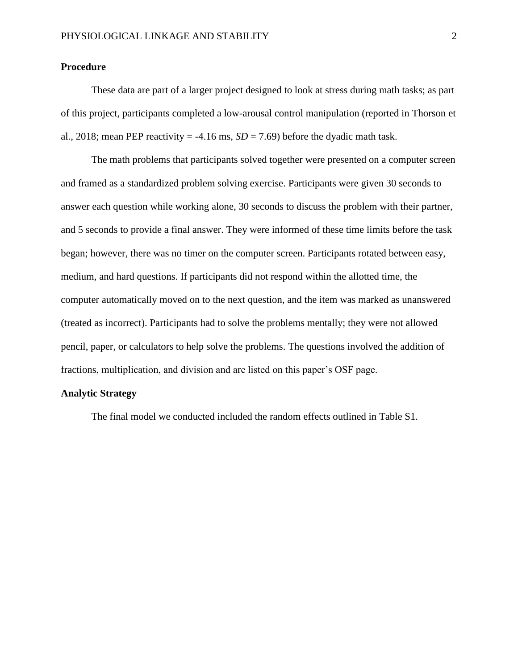# **Procedure**

These data are part of a larger project designed to look at stress during math tasks; as part of this project, participants completed a low-arousal control manipulation (reported in Thorson et al., 2018; mean PEP reactivity =  $-4.16$  ms,  $SD = 7.69$ ) before the dyadic math task.

The math problems that participants solved together were presented on a computer screen and framed as a standardized problem solving exercise. Participants were given 30 seconds to answer each question while working alone, 30 seconds to discuss the problem with their partner, and 5 seconds to provide a final answer. They were informed of these time limits before the task began; however, there was no timer on the computer screen. Participants rotated between easy, medium, and hard questions. If participants did not respond within the allotted time, the computer automatically moved on to the next question, and the item was marked as unanswered (treated as incorrect). Participants had to solve the problems mentally; they were not allowed pencil, paper, or calculators to help solve the problems. The questions involved the addition of fractions, multiplication, and division and are listed on this paper's OSF page.

## **Analytic Strategy**

The final model we conducted included the random effects outlined in Table S1.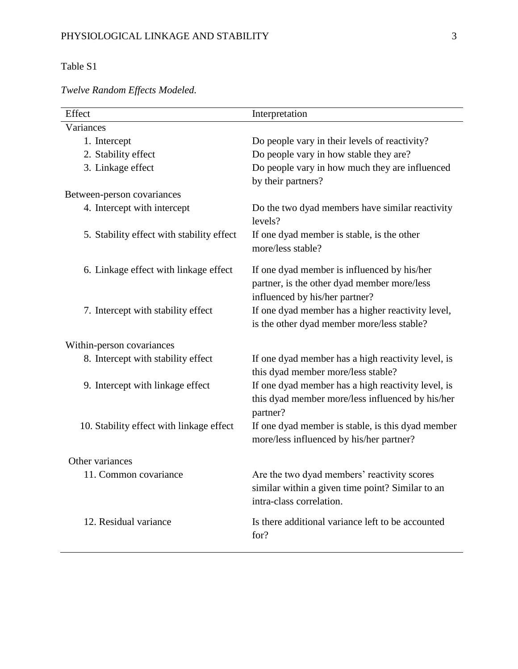# Table S1

| Effect                                    | Interpretation                                                                                                               |
|-------------------------------------------|------------------------------------------------------------------------------------------------------------------------------|
| Variances                                 |                                                                                                                              |
| 1. Intercept                              | Do people vary in their levels of reactivity?                                                                                |
| 2. Stability effect                       | Do people vary in how stable they are?                                                                                       |
| 3. Linkage effect                         | Do people vary in how much they are influenced<br>by their partners?                                                         |
| Between-person covariances                |                                                                                                                              |
| 4. Intercept with intercept               | Do the two dyad members have similar reactivity<br>levels?                                                                   |
| 5. Stability effect with stability effect | If one dyad member is stable, is the other<br>more/less stable?                                                              |
| 6. Linkage effect with linkage effect     | If one dyad member is influenced by his/her<br>partner, is the other dyad member more/less<br>influenced by his/her partner? |
| 7. Intercept with stability effect        | If one dyad member has a higher reactivity level,<br>is the other dyad member more/less stable?                              |
| Within-person covariances                 |                                                                                                                              |
| 8. Intercept with stability effect        | If one dyad member has a high reactivity level, is<br>this dyad member more/less stable?                                     |
| 9. Intercept with linkage effect          | If one dyad member has a high reactivity level, is<br>this dyad member more/less influenced by his/her<br>partner?           |
| 10. Stability effect with linkage effect  | If one dyad member is stable, is this dyad member<br>more/less influenced by his/her partner?                                |
| Other variances                           |                                                                                                                              |
| 11. Common covariance                     | Are the two dyad members' reactivity scores<br>similar within a given time point? Similar to an<br>intra-class correlation.  |
| 12. Residual variance                     | Is there additional variance left to be accounted<br>for?                                                                    |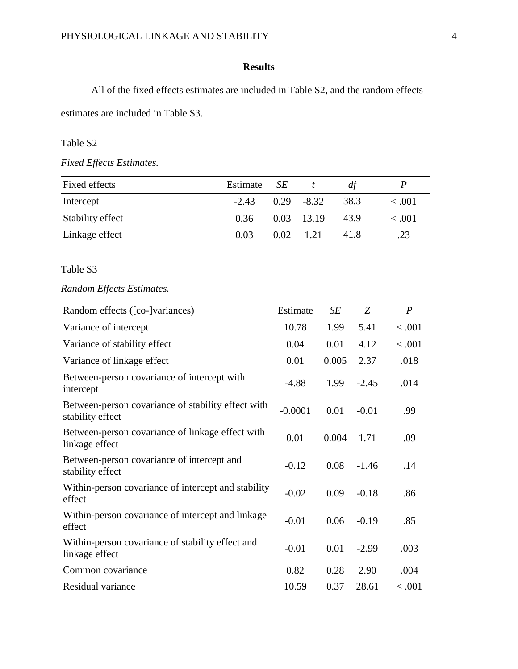# **Results**

All of the fixed effects estimates are included in Table S2, and the random effects estimates are included in Table S3.

## Table S2

*Fixed Effects Estimates.* 

| Fixed effects    | Estimate SE |                   | df   |             |
|------------------|-------------|-------------------|------|-------------|
| Intercept        | $-2.43$     | $0.29 - 8.32$     | 38.3 | $\leq .001$ |
| Stability effect | 0.36        | $0.03$ 13.19      | 43.9 | < .001      |
| Linkage effect   | 0.03        | $0.02 \quad 1.21$ | 41.8 | .23         |

#### Table S3

# *Random Effects Estimates.*

| Random effects ([co-]variances)                                        | Estimate  | SE    | Z       | $\boldsymbol{P}$ |
|------------------------------------------------------------------------|-----------|-------|---------|------------------|
| Variance of intercept                                                  | 10.78     | 1.99  | 5.41    | < .001           |
| Variance of stability effect                                           | 0.04      | 0.01  | 4.12    | < .001           |
| Variance of linkage effect                                             | 0.01      | 0.005 | 2.37    | .018             |
| Between-person covariance of intercept with<br>intercept               | $-4.88$   | 1.99  | $-2.45$ | .014             |
| Between-person covariance of stability effect with<br>stability effect | $-0.0001$ | 0.01  | $-0.01$ | .99              |
| Between-person covariance of linkage effect with<br>linkage effect     | 0.01      | 0.004 | 1.71    | .09              |
| Between-person covariance of intercept and<br>stability effect         | $-0.12$   | 0.08  | $-1.46$ | .14              |
| Within-person covariance of intercept and stability<br>effect          | $-0.02$   | 0.09  | $-0.18$ | .86              |
| Within-person covariance of intercept and linkage<br>effect            | $-0.01$   | 0.06  | $-0.19$ | .85              |
| Within-person covariance of stability effect and<br>linkage effect     | $-0.01$   | 0.01  | $-2.99$ | .003             |
| Common covariance                                                      | 0.82      | 0.28  | 2.90    | .004             |
| Residual variance                                                      | 10.59     | 0.37  | 28.61   | < 0.001          |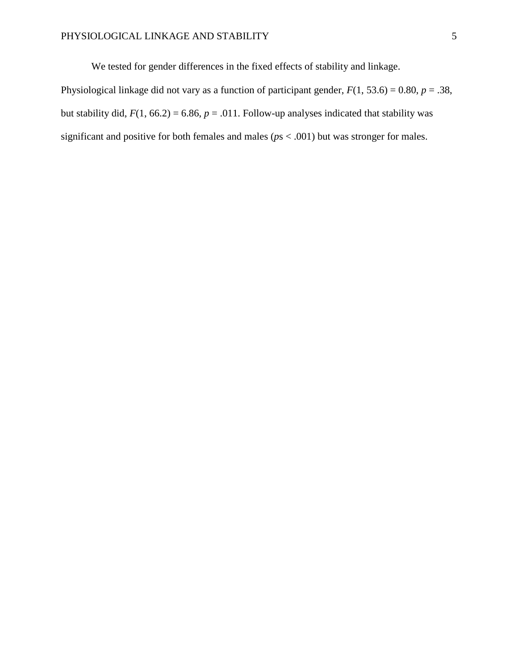We tested for gender differences in the fixed effects of stability and linkage.

Physiological linkage did not vary as a function of participant gender,  $F(1, 53.6) = 0.80$ ,  $p = .38$ , but stability did,  $F(1, 66.2) = 6.86$ ,  $p = .011$ . Follow-up analyses indicated that stability was significant and positive for both females and males (*p*s < .001) but was stronger for males.